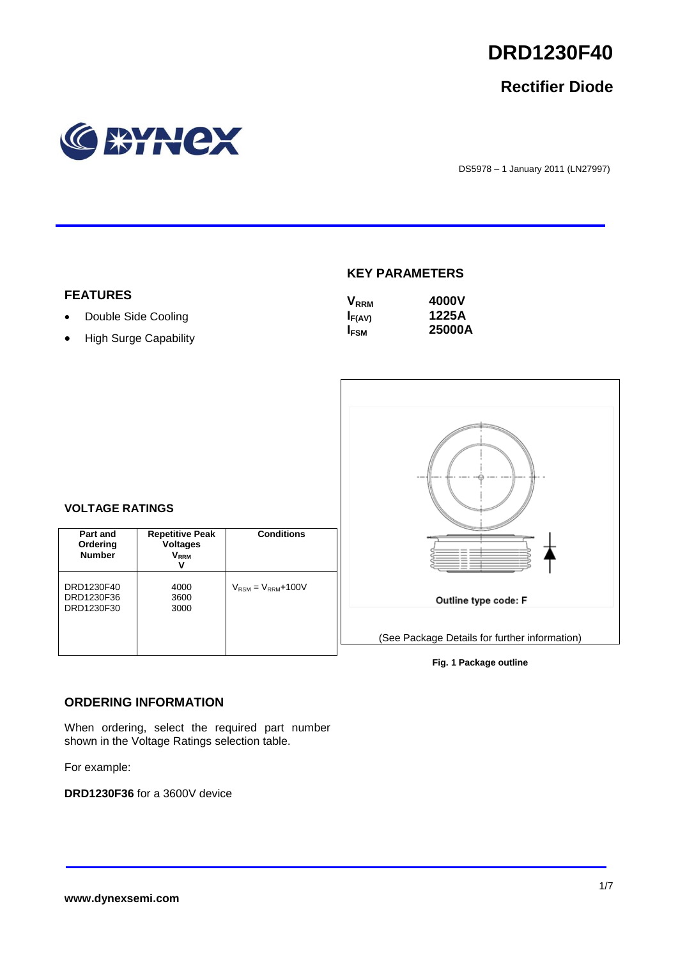

# **Rectifier Diode**



DS5978 – 1 January 2011 (LN27997)

#### **FEATURES**

• Double Side Cooling

**VOLTAGE RATINGS**

**Part and Ordering Number**

DRD1230F40 DRD1230F36 DRD1230F30

• High Surge Capability

#### **KEY PARAMETERS**

| <b>V</b> <sub>RRM</sub> | 4000V  |
|-------------------------|--------|
| $I_{F(AV)}$             | 1225A  |
| <b>IFSM</b>             | 25000A |



#### **Fig. 1 Package outline**

# **ORDERING INFORMATION**

When ordering, select the required part number shown in the Voltage Ratings selection table.

**Repetitive Peak Voltages VRRM V**

> 4000 3600 3000

**Conditions**

 $V_{\text{RSM}} = V_{\text{RRM}} + 100V$ 

For example:

**DRD1230F36** for a 3600V device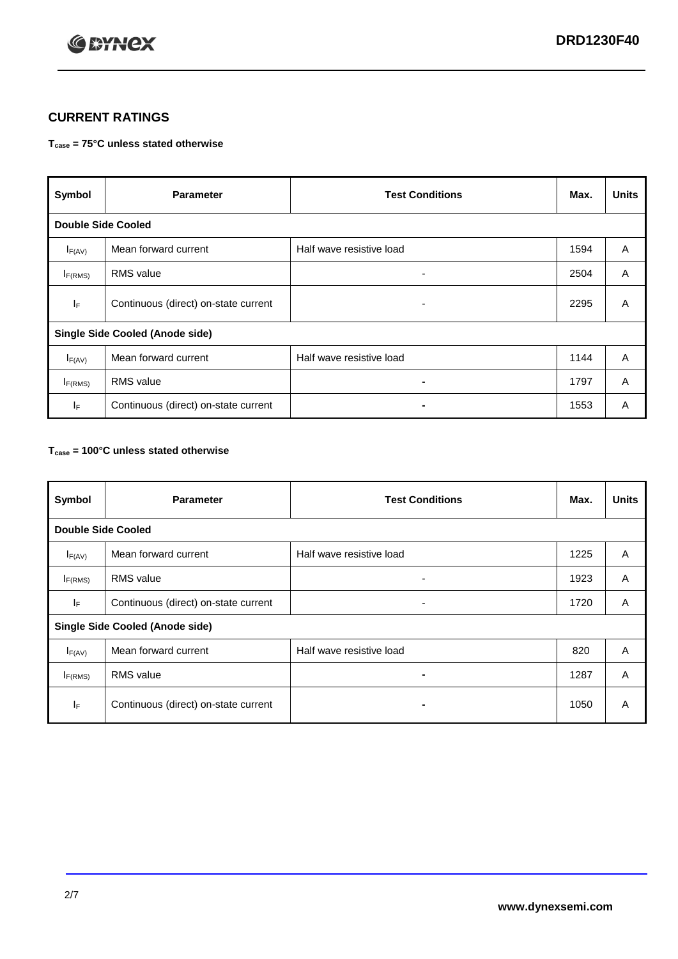

## **CURRENT RATINGS**

#### **Tcase = 75°C unless stated otherwise**

| Symbol                                 | <b>Parameter</b>                     | <b>Test Conditions</b>   | Max. | <b>Units</b> |  |
|----------------------------------------|--------------------------------------|--------------------------|------|--------------|--|
| <b>Double Side Cooled</b>              |                                      |                          |      |              |  |
| $I_{F(AV)}$                            | Mean forward current                 | Half wave resistive load | 1594 | A            |  |
| $I_{F(RMS)}$                           | <b>RMS</b> value                     | ۰                        | 2504 | A            |  |
| lF.                                    | Continuous (direct) on-state current | ۰                        | 2295 | A            |  |
| <b>Single Side Cooled (Anode side)</b> |                                      |                          |      |              |  |
| $I_{F(AV)}$                            | Mean forward current                 | Half wave resistive load | 1144 | Α            |  |
| $I_{F(RMS)}$                           | <b>RMS</b> value                     | ۰.                       | 1797 | A            |  |
| IF.                                    | Continuous (direct) on-state current |                          | 1553 | A            |  |

#### **Tcase = 100°C unless stated otherwise**

| Symbol                                 | <b>Parameter</b>                     | <b>Test Conditions</b>   | Max. | <b>Units</b> |  |
|----------------------------------------|--------------------------------------|--------------------------|------|--------------|--|
| <b>Double Side Cooled</b>              |                                      |                          |      |              |  |
| $I_{F(AV)}$                            | Mean forward current                 | Half wave resistive load | 1225 | A            |  |
| $I_{F(RMS)}$                           | <b>RMS</b> value                     | ۰                        | 1923 | A            |  |
| IF.                                    | Continuous (direct) on-state current | ۰                        | 1720 | A            |  |
| <b>Single Side Cooled (Anode side)</b> |                                      |                          |      |              |  |
| $I_{F(AV)}$                            | Mean forward current                 | Half wave resistive load | 820  | A            |  |
| I <sub>F(RMS)</sub>                    | <b>RMS</b> value                     |                          | 1287 | A            |  |
| IF                                     | Continuous (direct) on-state current | -                        | 1050 | A            |  |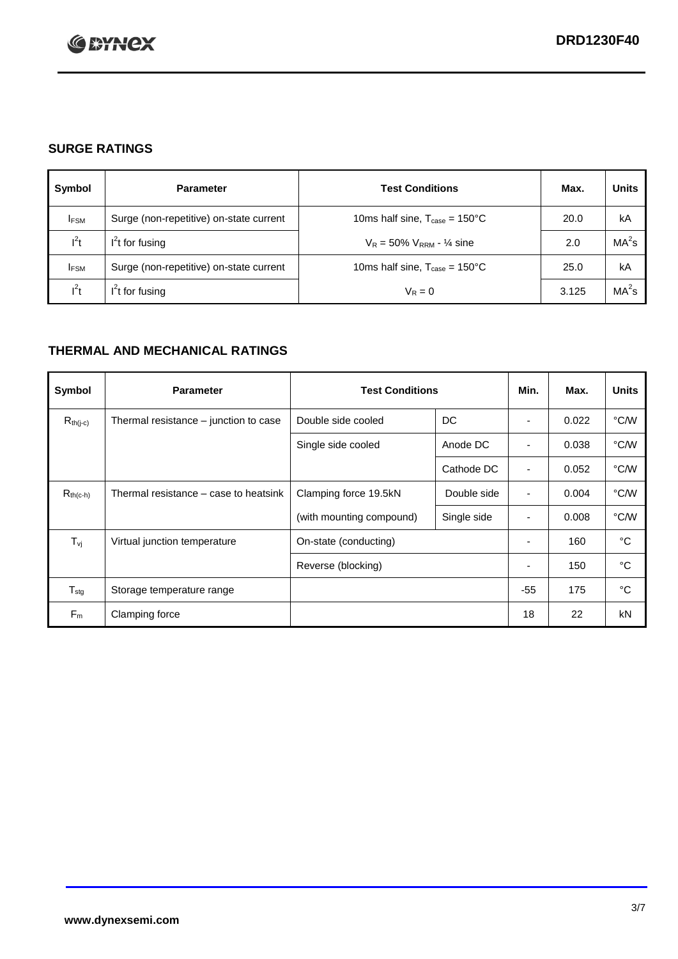

## **SURGE RATINGS**

| Symbol      | <b>Parameter</b>                        | <b>Test Conditions</b>                            | Max.  | <b>Units</b>      |
|-------------|-----------------------------------------|---------------------------------------------------|-------|-------------------|
| <b>IFSM</b> | Surge (non-repetitive) on-state current | 10ms half sine, $T_{\text{case}} = 150^{\circ}$ C | 20.0  | kA                |
| $l^2t$      | $I2t$ for fusing                        | $V_R = 50\% V_{RRM} - \frac{1}{4}$ sine           | 2.0   | MA <sup>2</sup> s |
| <b>IFSM</b> | Surge (non-repetitive) on-state current | 10ms half sine, $T_{\text{case}} = 150^{\circ}$ C | 25.0  | kA                |
| $l^2t$      | $l^2$ t for fusing                      | $V_R = 0$                                         | 3.125 | $MA2$ s           |

## **THERMAL AND MECHANICAL RATINGS**

| Symbol                         | <b>Parameter</b>                      | <b>Test Conditions</b>   |             | Min.                     | Max.  | <b>Units</b> |
|--------------------------------|---------------------------------------|--------------------------|-------------|--------------------------|-------|--------------|
| $R_{th(j-c)}$                  | Thermal resistance - junction to case | Double side cooled       | DC          |                          | 0.022 | °C/W         |
|                                |                                       | Single side cooled       | Anode DC    |                          | 0.038 | °C/W         |
|                                |                                       |                          | Cathode DC  |                          | 0.052 | °C/W         |
| $R_{th(c-h)}$                  | Thermal resistance – case to heatsink | Clamping force 19.5kN    | Double side | ٠                        | 0.004 | °C/W         |
|                                |                                       | (with mounting compound) | Single side | ٠                        | 0.008 | °C/W         |
| $T_{\rm\scriptscriptstyle VI}$ | Virtual junction temperature          | On-state (conducting)    |             | $\overline{\phantom{a}}$ | 160   | °C           |
|                                |                                       | Reverse (blocking)       |             | $\overline{\phantom{a}}$ | 150   | °C           |
| $T_{\text{stg}}$               | Storage temperature range             |                          |             | $-55$                    | 175   | °C           |
| $F_m$                          | Clamping force                        |                          |             | 18                       | 22    | kN           |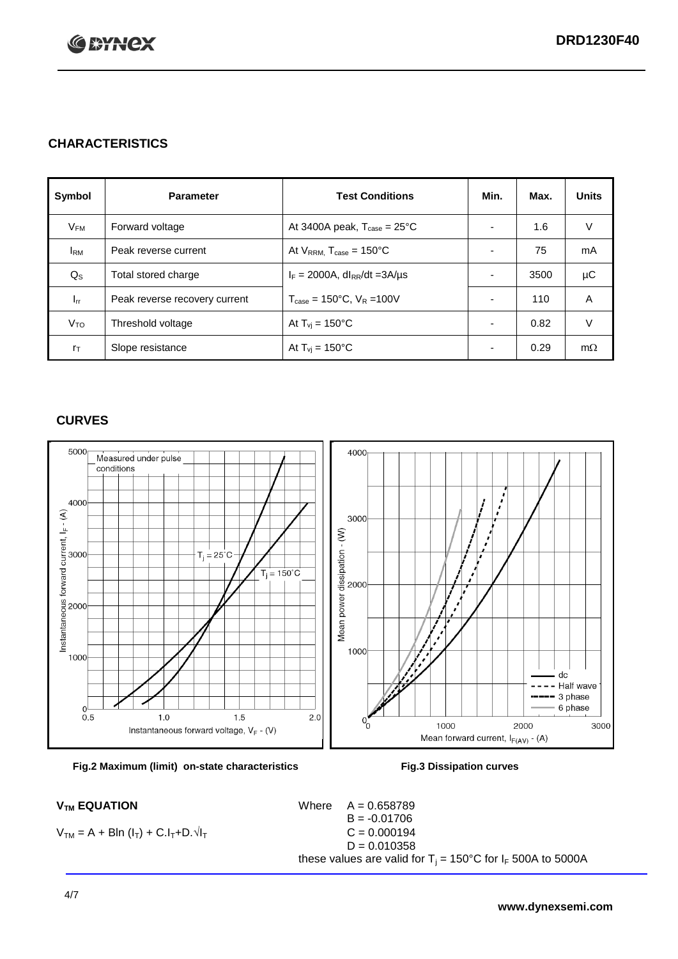

## **CHARACTERISTICS**

| Symbol         | <b>Parameter</b>              | <b>Test Conditions</b>                          | Min.                     | Max. | <b>Units</b> |
|----------------|-------------------------------|-------------------------------------------------|--------------------------|------|--------------|
| $V_{FM}$       | Forward voltage               | At 3400A peak, $T_{\text{case}} = 25^{\circ}C$  |                          | 1.6  | V            |
| <b>I</b> RM    | Peak reverse current          | At $V_{RRM}$ , $T_{case} = 150^{\circ}C$        | -                        | 75   | mA           |
| $Q_{\rm S}$    | Total stored charge           | $I_F = 2000A$ , dl <sub>RR</sub> /dt = 3A/µs    |                          | 3500 | μC           |
| $I_{rr}$       | Peak reverse recovery current | $T_{\text{case}} = 150^{\circ}$ C, $V_R = 100V$ |                          | 110  | A            |
| $V_{TO}$       | Threshold voltage             | At $T_{vi}$ = 150 $^{\circ}$ C                  | $\overline{\phantom{0}}$ | 0.82 | V            |
| $r_{\text{T}}$ | Slope resistance              | At $T_{vi}$ = 150°C                             | ۰                        | 0.29 | $m\Omega$    |

#### **CURVES**





 $V_{TM} = A + BIn (I_T) + C.I_T + D.\sqrt{I_T}$ 

 $V_{TM}$  **EQUATION** Where  $A = 0.658789$  $B = -0.01706$ <br>C = 0.000194  $D = 0.010358$ these values are valid for T<sub>i</sub> = 150°C for I<sub>F</sub> 500A to 5000A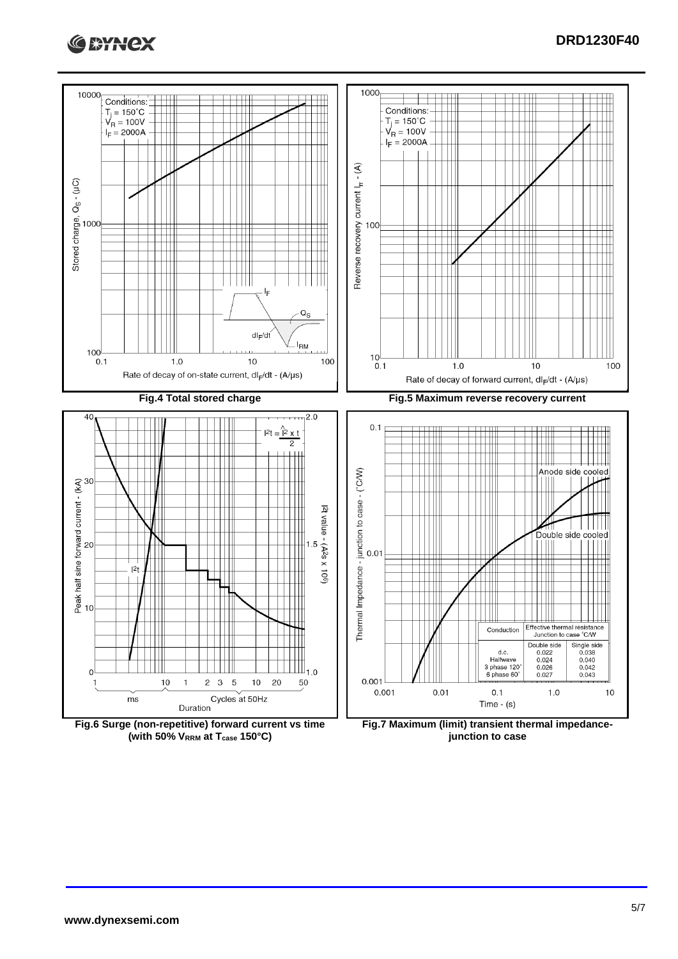



**(with 50% VRRM at Tcase 150°C)**

**junction to case**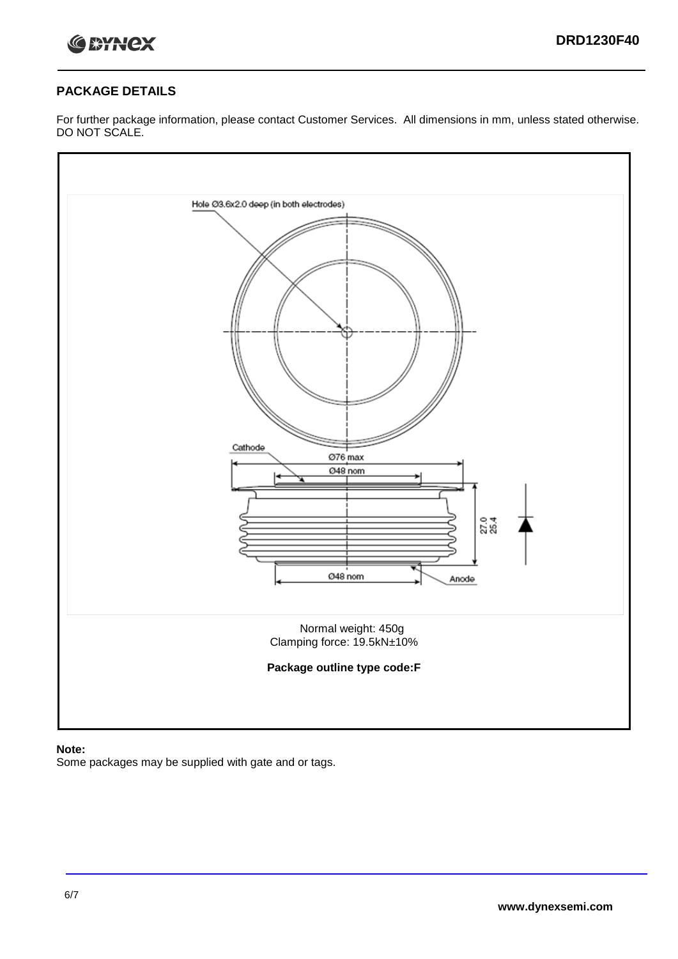

## **PACKAGE DETAILS**

For further package information, please contact Customer Services. All dimensions in mm, unless stated otherwise. DO NOT SCALE.



### **Note:**

Some packages may be supplied with gate and or tags.